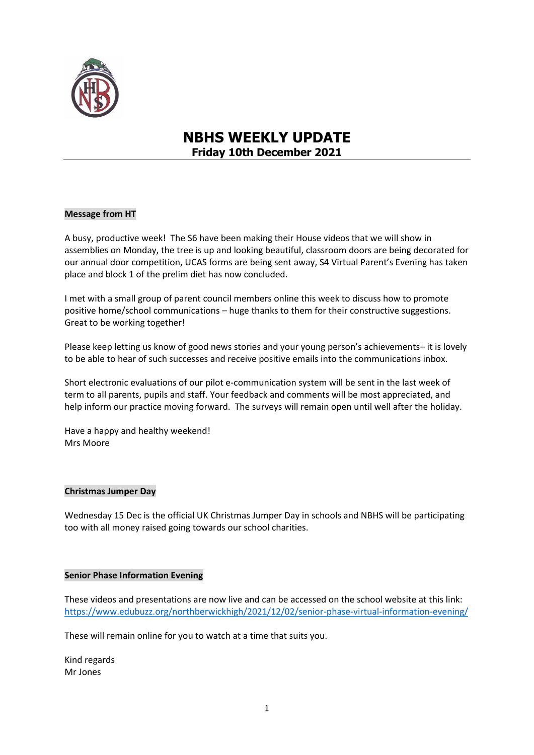

# **NBHS WEEKLY UPDATE Friday 10th December 2021**

#### **Message from HT**

A busy, productive week! The S6 have been making their House videos that we will show in assemblies on Monday, the tree is up and looking beautiful, classroom doors are being decorated for our annual door competition, UCAS forms are being sent away, S4 Virtual Parent's Evening has taken place and block 1 of the prelim diet has now concluded.

I met with a small group of parent council members online this week to discuss how to promote positive home/school communications – huge thanks to them for their constructive suggestions. Great to be working together!

Please keep letting us know of good news stories and your young person's achievements– it is lovely to be able to hear of such successes and receive positive emails into the communications inbox.

Short electronic evaluations of our pilot e-communication system will be sent in the last week of term to all parents, pupils and staff. Your feedback and comments will be most appreciated, and help inform our practice moving forward. The surveys will remain open until well after the holiday.

Have a happy and healthy weekend! Mrs Moore

#### **Christmas Jumper Day**

Wednesday 15 Dec is the official UK Christmas Jumper Day in schools and NBHS will be participating too with all money raised going towards our school charities.

#### **Senior Phase Information Evening**

These videos and presentations are now live and can be accessed on the school website at this link: <https://www.edubuzz.org/northberwickhigh/2021/12/02/senior-phase-virtual-information-evening/>

These will remain online for you to watch at a time that suits you.

Kind regards Mr Jones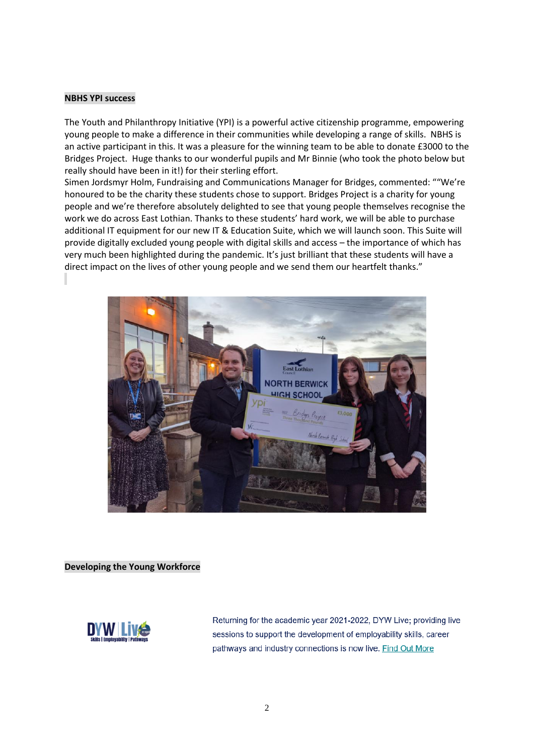#### **NBHS YPI success**

The Youth and Philanthropy Initiative (YPI) is a powerful active citizenship programme, empowering young people to make a difference in their communities while developing a range of skills. NBHS is an active participant in this. It was a pleasure for the winning team to be able to donate £3000 to the Bridges Project. Huge thanks to our wonderful pupils and Mr Binnie (who took the photo below but really should have been in it!) for their sterling effort.

Simen Jordsmyr Holm, Fundraising and Communications Manager for Bridges, commented: ""We're honoured to be the charity these students chose to support. Bridges Project is a charity for young people and we're therefore absolutely delighted to see that young people themselves recognise the work we do across East Lothian. Thanks to these students' hard work, we will be able to purchase additional IT equipment for our new IT & Education Suite, which we will launch soon. This Suite will provide digitally excluded young people with digital skills and access – the importance of which has very much been highlighted during the pandemic. It's just brilliant that these students will have a direct impact on the lives of other young people and we send them our heartfelt thanks."



#### **Developing the Young Workforce**



Returning for the academic year 2021-2022, DYW Live; providing live sessions to support the development of employability skills, career pathways and industry connections is now live. Find Out More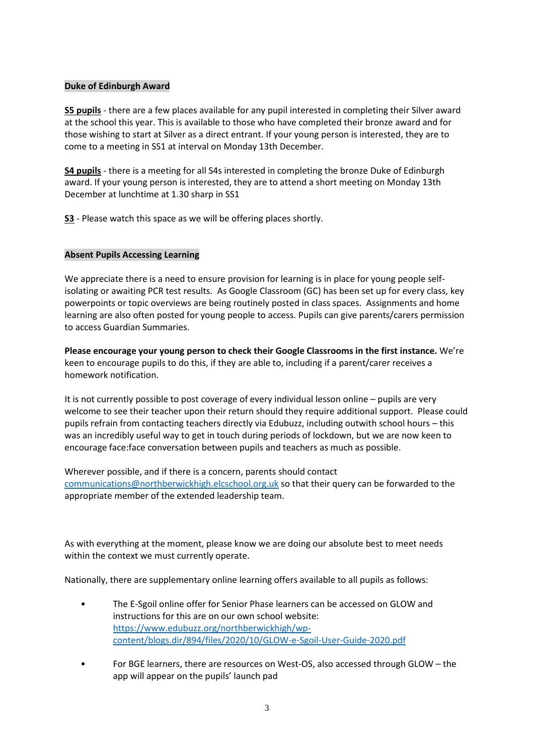#### **Duke of Edinburgh Award**

**S5 pupils** - there are a few places available for any pupil interested in completing their Silver award at the school this year. This is available to those who have completed their bronze award and for those wishing to start at Silver as a direct entrant. If your young person is interested, they are to come to a meeting in SS1 at interval on Monday 13th December.

**S4 pupils** - there is a meeting for all S4s interested in completing the bronze Duke of Edinburgh award. If your young person is interested, they are to attend a short meeting on Monday 13th December at lunchtime at 1.30 sharp in SS1

**S3** - Please watch this space as we will be offering places shortly.

#### **Absent Pupils Accessing Learning**

We appreciate there is a need to ensure provision for learning is in place for young people selfisolating or awaiting PCR test results. As Google Classroom (GC) has been set up for every class, key powerpoints or topic overviews are being routinely posted in class spaces. Assignments and home learning are also often posted for young people to access. Pupils can give parents/carers permission to access Guardian Summaries.

**Please encourage your young person to check their Google Classrooms in the first instance.** We're keen to encourage pupils to do this, if they are able to, including if a parent/carer receives a homework notification.

It is not currently possible to post coverage of every individual lesson online – pupils are very welcome to see their teacher upon their return should they require additional support. Please could pupils refrain from contacting teachers directly via Edubuzz, including outwith school hours – this was an incredibly useful way to get in touch during periods of lockdown, but we are now keen to encourage face:face conversation between pupils and teachers as much as possible.

Wherever possible, and if there is a concern, parents should contact [communications@northberwickhigh.elcschool.org.uk](mailto:communications@northberwickhigh.elcschool.org.uk) so that their query can be forwarded to the appropriate member of the extended leadership team.

As with everything at the moment, please know we are doing our absolute best to meet needs within the context we must currently operate.

Nationally, there are supplementary online learning offers available to all pupils as follows:

- The E-Sgoil online offer for Senior Phase learners can be accessed on GLOW and instructions for this are on our own school website: [https://www.edubuzz.org/northberwickhigh/wp](https://www.edubuzz.org/northberwickhigh/wp-content/blogs.dir/894/files/2020/10/GLOW-e-Sgoil-User-Guide-2020.pdf)[content/blogs.dir/894/files/2020/10/GLOW-e-Sgoil-User-Guide-2020.pdf](https://www.edubuzz.org/northberwickhigh/wp-content/blogs.dir/894/files/2020/10/GLOW-e-Sgoil-User-Guide-2020.pdf)
- For BGE learners, there are resources on West-OS, also accessed through GLOW the app will appear on the pupils' launch pad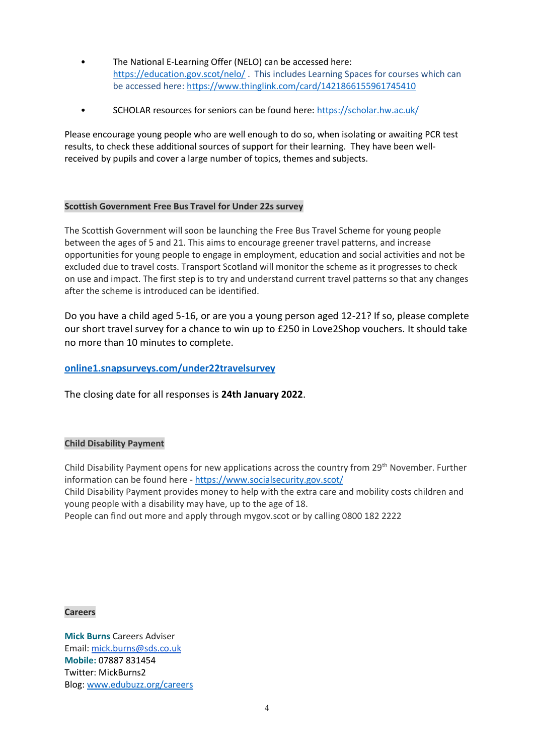- The National E-Learning Offer (NELO) can be accessed here: <https://education.gov.scot/nelo/> . This includes Learning Spaces for courses which can be accessed here:<https://www.thinglink.com/card/1421866155961745410>
- SCHOLAR resources for seniors can be found here:<https://scholar.hw.ac.uk/>

Please encourage young people who are well enough to do so, when isolating or awaiting PCR test results, to check these additional sources of support for their learning. They have been wellreceived by pupils and cover a large number of topics, themes and subjects.

# **Scottish Government Free Bus Travel for Under 22s survey**

The Scottish Government will soon be launching the Free Bus Travel Scheme for young people between the ages of 5 and 21. This aims to encourage greener travel patterns, and increase opportunities for young people to engage in employment, education and social activities and not be excluded due to travel costs. Transport Scotland will monitor the scheme as it progresses to check on use and impact. The first step is to try and understand current travel patterns so that any changes after the scheme is introduced can be identified.

Do you have a child aged 5-16, or are you a young person aged 12-21? If so, please complete our short travel survey for a chance to win up to £250 in Love2Shop vouchers. It should take no more than 10 minutes to complete.

# **[online1.snapsurveys.com/under22travelsurvey](https://online1.snapsurveys.com/under22travelsurvey)**

The closing date for all responses is **24th January 2022**.

#### **Child Disability Payment**

Child Disability Payment opens for new applications across the country from 29th November. Further information can be found here - <https://www.socialsecurity.gov.scot/>

Child Disability Payment provides money to help with the extra care and mobility costs children and young people with a disability may have, up to the age of 18.

People can find out more and apply through mygov.scot or by calling 0800 182 2222

#### **Careers**

**Mick Burns** Careers Adviser Email: [mick.burns@sds.co.uk](https://mail.elcschool.org.uk/owa/redir.aspx?C=fbGa3DGVrsUoQB2CnJP23eXwMGzxu7J1CtarT6dTOwkq_NlpJujXCA..&URL=mailto%3amick.burns%40sds.co.uk) **Mobile:** 07887 831454 Twitter: MickBurns2 Blog: [www.edubuzz.org/careers](http://www.edubuzz.org/careers)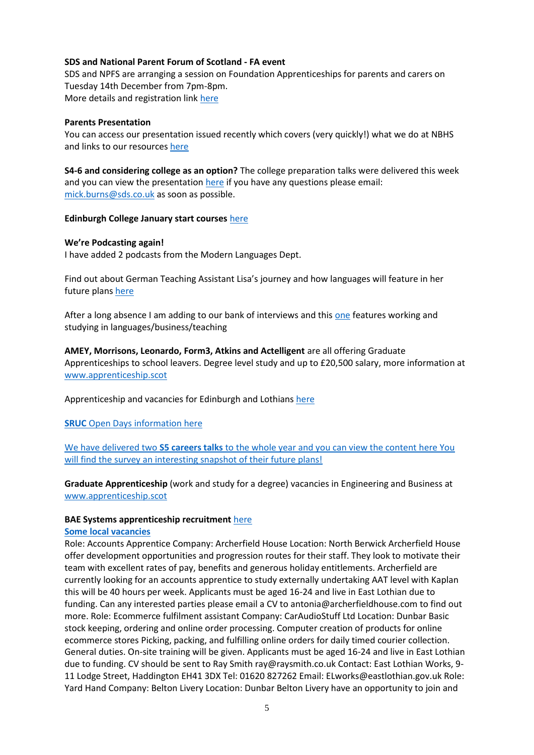#### **SDS and National Parent Forum of Scotland - FA event**

SDS and NPFS are arranging a session on Foundation Apprenticeships for parents and carers on Tuesday 14th December from 7pm-8pm. More details and registration link [here](https://www.edubuzz.org/careers/2021/12/07/sds-and-national-parent-forum-of-scotland-fa-event/)

#### **Parents Presentation**

You can access our presentation issued recently which covers (very quickly!) what we do at NBHS and links to our resources [here](https://www.edubuzz.org/careers/2021/11/30/10622/)

**S4-6 and considering college as an option?** The college preparation talks were delivered this week and you can view the presentation [here](https://www.edubuzz.org/careers/2021/11/18/applying-for-college-2022/) if you have any questions please email: [mick.burns@sds.co.uk](mailto:mick.burns@sds.co.uk) as soon as possible.

#### **Edinburgh College January start courses** [here](https://www.edinburghcollege.ac.uk/courses/january-courses)

#### **We're Podcasting again!**

I have added 2 podcasts from the Modern Languages Dept.

Find out about German Teaching Assistant Lisa's journey and how languages will feature in her future plan[s here](https://www.edubuzz.org/careers/2021/12/07/why-my-languages-are-important/)

After a long absence I am adding to our bank of interviews and this [one](https://www.edubuzz.org/careers/2021/11/18/using-languages-in-my-career/) features working and studying in languages/business/teaching

**AMEY, Morrisons, Leonardo, Form3, Atkins and Actelligent** are all offering Graduate Apprenticeships to school leavers. Degree level study and up to £20,500 salary, more information at [www.apprenticeship.scot](http://www.apprenticeship.scot/)

Apprenticeship and vacancies for Edinburgh and Lothians [here](https://www.edubuzz.org/careers/2021/12/08/latest-vacancies/)

**SRUC** Open Days information [here](https://www.edubuzz.org/careers/2021/11/10/sruc-open-days-2/)

We have delivered two **S5 careers talks** to the whole year and you can view the content [here](https://www.edubuzz.org/careers/2021/10/28/s5-buzz-talk-november-part-2/) You will find the survey an interesting snapshot of their future plans!

**Graduate Apprenticeship** (work and study for a degree) vacancies in Engineering and Business at [www.apprenticeship.scot](http://www.apprenticeship.scot/)

#### **BAE Systems apprenticeship recruitment** [here](https://www.edubuzz.org/careers/2021/11/04/bae-systems-apprenticeship-recruitment/)

#### **Some local vacancies**

Role: Accounts Apprentice Company: Archerfield House Location: North Berwick Archerfield House offer development opportunities and progression routes for their staff. They look to motivate their team with excellent rates of pay, benefits and generous holiday entitlements. Archerfield are currently looking for an accounts apprentice to study externally undertaking AAT level with Kaplan this will be 40 hours per week. Applicants must be aged 16-24 and live in East Lothian due to funding. Can any interested parties please email a CV to antonia@archerfieldhouse.com to find out more. Role: Ecommerce fulfilment assistant Company: CarAudioStuff Ltd Location: Dunbar Basic stock keeping, ordering and online order processing. Computer creation of products for online ecommerce stores Picking, packing, and fulfilling online orders for daily timed courier collection. General duties. On-site training will be given. Applicants must be aged 16-24 and live in East Lothian due to funding. CV should be sent to Ray Smith ray@raysmith.co.uk Contact: East Lothian Works, 9- 11 Lodge Street, Haddington EH41 3DX Tel: 01620 827262 Email: ELworks@eastlothian.gov.uk Role: Yard Hand Company: Belton Livery Location: Dunbar Belton Livery have an opportunity to join and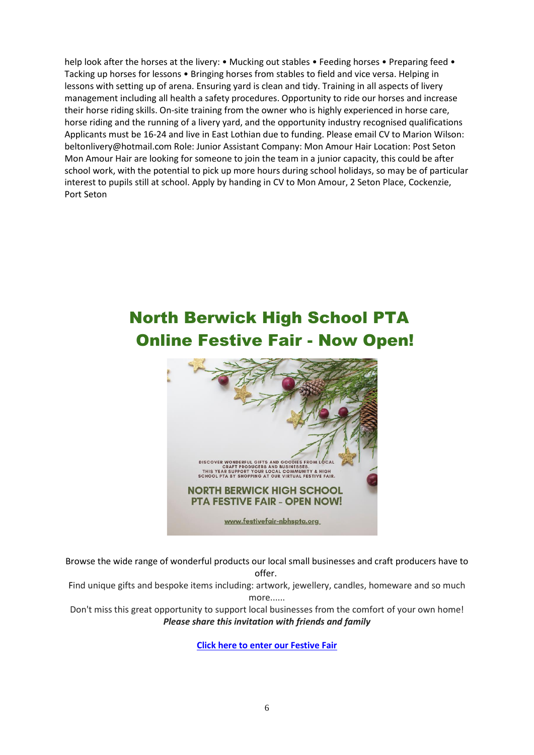help look after the horses at the livery: • Mucking out stables • Feeding horses • Preparing feed • Tacking up horses for lessons • Bringing horses from stables to field and vice versa. Helping in lessons with setting up of arena. Ensuring yard is clean and tidy. Training in all aspects of livery management including all health a safety procedures. Opportunity to ride our horses and increase their horse riding skills. On-site training from the owner who is highly experienced in horse care, horse riding and the running of a livery yard, and the opportunity industry recognised qualifications Applicants must be 16-24 and live in East Lothian due to funding. Please email CV to Marion Wilson: beltonlivery@hotmail.com Role: Junior Assistant Company: Mon Amour Hair Location: Post Seton Mon Amour Hair are looking for someone to join the team in a junior capacity, this could be after school work, with the potential to pick up more hours during school holidays, so may be of particular interest to pupils still at school. Apply by handing in CV to Mon Amour, 2 Seton Place, Cockenzie, Port Seton

# North Berwick High School PTA Online Festive Fair - Now Open!



Browse the wide range of wonderful products our local small businesses and craft producers have to offer.

Find unique gifts and bespoke items including: artwork, jewellery, candles, homeware and so much more......

Don't miss this great opportunity to support local businesses from the comfort of your own home! *Please share this invitation with friends and family*

**[Click here to enter our Festive Fair](https://festivefair-nbhspta.org/)**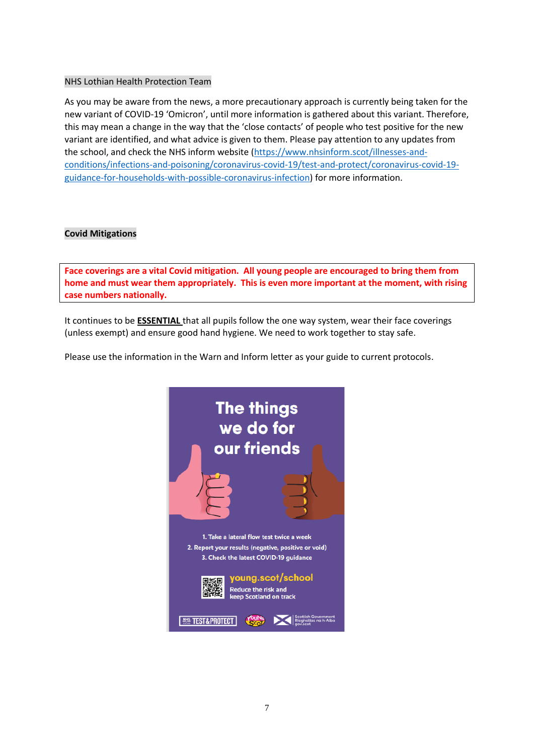## NHS Lothian Health Protection Team

As you may be aware from the news, a more precautionary approach is currently being taken for the new variant of COVID-19 'Omicron', until more information is gathered about this variant. Therefore, this may mean a change in the way that the 'close contacts' of people who test positive for the new variant are identified, and what advice is given to them. Please pay attention to any updates from the school, and check the NHS inform website [\(https://www.nhsinform.scot/illnesses-and](https://www.nhsinform.scot/illnesses-and-conditions/infections-and-poisoning/coronavirus-covid-19/test-and-protect/coronavirus-covid-19-guidance-for-households-with-possible-coronavirus-infection)[conditions/infections-and-poisoning/coronavirus-covid-19/test-and-protect/coronavirus-covid-19](https://www.nhsinform.scot/illnesses-and-conditions/infections-and-poisoning/coronavirus-covid-19/test-and-protect/coronavirus-covid-19-guidance-for-households-with-possible-coronavirus-infection) [guidance-for-households-with-possible-coronavirus-infection\)](https://www.nhsinform.scot/illnesses-and-conditions/infections-and-poisoning/coronavirus-covid-19/test-and-protect/coronavirus-covid-19-guidance-for-households-with-possible-coronavirus-infection) for more information.

# **Covid Mitigations**

**Face coverings are a vital Covid mitigation. All young people are encouraged to bring them from home and must wear them appropriately. This is even more important at the moment, with rising case numbers nationally.**

It continues to be **ESSENTIAL** that all pupils follow the one way system, wear their face coverings (unless exempt) and ensure good hand hygiene. We need to work together to stay safe.

Please use the information in the Warn and Inform letter as your guide to current protocols.

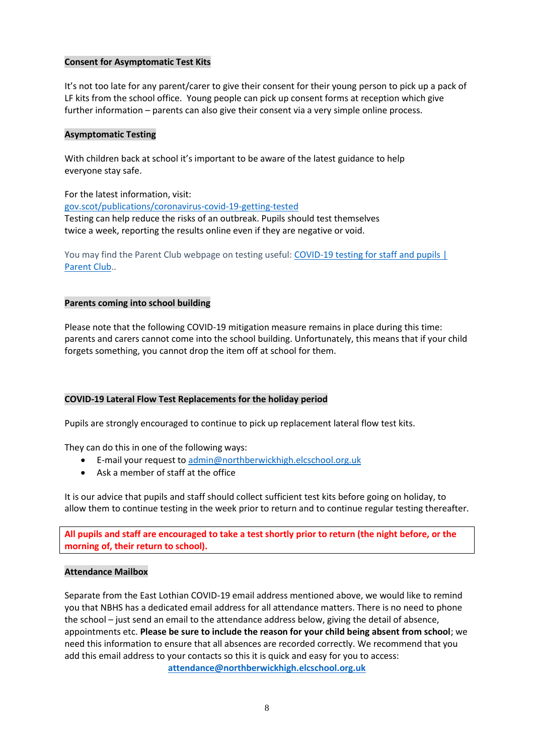#### **Consent for Asymptomatic Test Kits**

It's not too late for any parent/carer to give their consent for their young person to pick up a pack of LF kits from the school office. Young people can pick up consent forms at reception which give further information – parents can also give their consent via a very simple online process.

#### **Asymptomatic Testing**

With children back at school it's important to be aware of the latest guidance to help everyone stay safe.

For the latest information, visit:

[gov.scot/publications/coronavirus-covid-19-getting-tested](file://///nb-server1/subjects/Admin/Diane/Weekly%20update/September%202021/gov.scot/publications/coronavirus-covid-19-getting-tested) Testing can help reduce the risks of an outbreak. Pupils should test themselves twice a week, reporting the results online even if they are negative or void.

You may find the Parent Club webpage on testing useful: COVID-19 testing for staff and pupils | [Parent Club.](https://www.parentclub.scot/articles/covid-19-testing-staff-and-pupils).

#### **Parents coming into school building**

Please note that the following COVID-19 mitigation measure remains in place during this time: parents and carers cannot come into the school building. Unfortunately, this means that if your child forgets something, you cannot drop the item off at school for them.

#### **COVID-19 Lateral Flow Test Replacements for the holiday period**

Pupils are strongly encouraged to continue to pick up replacement lateral flow test kits.

They can do this in one of the following ways:

- E-mail your request to [admin@northberwickhigh.elcschool.org.uk](mailto:admin@northberwickhigh.elcschool.org.uk)
- Ask a member of staff at the office

It is our advice that pupils and staff should collect sufficient test kits before going on holiday, to allow them to continue testing in the week prior to return and to continue regular testing thereafter.

**All pupils and staff are encouraged to take a test shortly prior to return (the night before, or the morning of, their return to school).**

#### **Attendance Mailbox**

Separate from the East Lothian COVID-19 email address mentioned above, we would like to remind you that NBHS has a dedicated email address for all attendance matters. There is no need to phone the school – just send an email to the attendance address below, giving the detail of absence, appointments etc. **Please be sure to include the reason for your child being absent from school**; we need this information to ensure that all absences are recorded correctly. We recommend that you add this email address to your contacts so this it is quick and easy for you to access: **[attendance@northberwickhigh.elcschool.org.uk](mailto:attendance@northberwickhigh.elcschool.org.uk)**

8